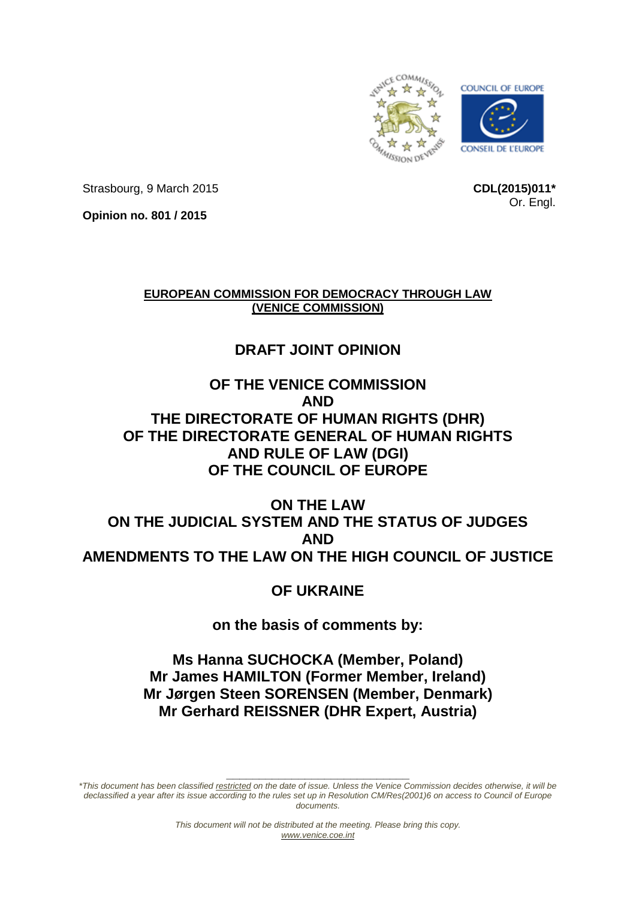

Strasbourg, 9 March 2015

**CDL(2015)011\*** Or. Engl.

**Opinion no. 801 / 2015**

**EUROPEAN COMMISSION FOR DEMOCRACY THROUGH LAW (VENICE COMMISSION)**

# **DRAFT JOINT OPINION**

# **OF THE VENICE COMMISSION AND THE DIRECTORATE OF HUMAN RIGHTS (DHR) OF THE DIRECTORATE GENERAL OF HUMAN RIGHTS AND RULE OF LAW (DGI) OF THE COUNCIL OF EUROPE**

# **ON THE LAW ON THE JUDICIAL SYSTEM AND THE STATUS OF JUDGES AND AMENDMENTS TO THE LAW ON THE HIGH COUNCIL OF JUSTICE**

**OF UKRAINE**

**on the basis of comments by:**

**Ms Hanna SUCHOCKA (Member, Poland) Mr James HAMILTON (Former Member, Ireland) Mr Jørgen Steen SORENSEN (Member, Denmark) Mr Gerhard REISSNER (DHR Expert, Austria)**

*\*This document has been classified restricted on the date of issue. Unless the Venice Commission decides otherwise, it will be declassified a year after its issue according to the rules set up in Resolution CM/Res(2001)6 on access to Council of Europe documents.*

**\_\_\_\_\_\_\_\_\_\_\_\_\_\_\_\_\_\_\_\_\_\_\_\_\_\_\_\_**

*This document will not be distributed at the meeting. Please bring this copy. [www.venice.coe.int](http://www.venice.coe.int/)*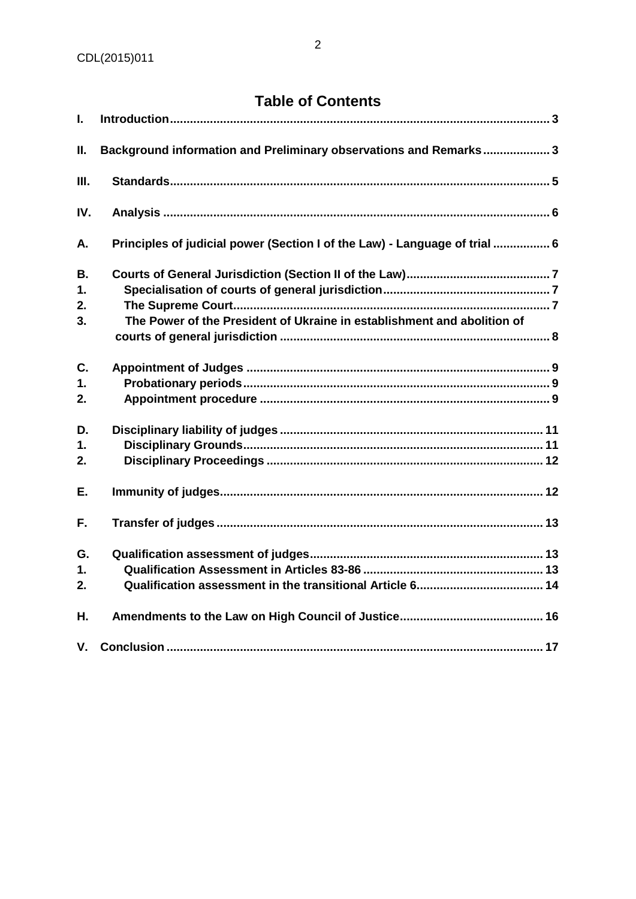# **Table of Contents**

| I.  |                                                                            |
|-----|----------------------------------------------------------------------------|
| П.  | Background information and Preliminary observations and Remarks3           |
| Ш.  |                                                                            |
| IV. |                                                                            |
| А.  | Principles of judicial power (Section I of the Law) - Language of trial  6 |
| В.  |                                                                            |
| 1.  |                                                                            |
| 2.  |                                                                            |
| 3.  | The Power of the President of Ukraine in establishment and abolition of    |
| C.  |                                                                            |
| 1.  |                                                                            |
| 2.  |                                                                            |
| D.  |                                                                            |
| 1.  |                                                                            |
| 2.  |                                                                            |
| Ε.  |                                                                            |
| F.  |                                                                            |
| G.  |                                                                            |
| 1.  |                                                                            |
| 2.  |                                                                            |
| Η.  |                                                                            |
| V.  |                                                                            |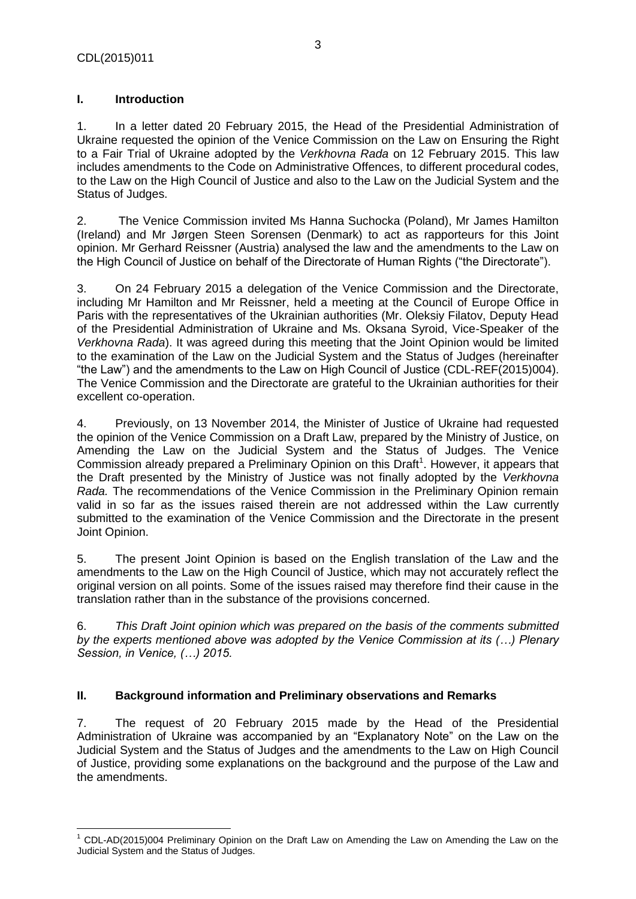$\overline{a}$ 

# <span id="page-2-0"></span>**I. Introduction**

1. In a letter dated 20 February 2015, the Head of the Presidential Administration of Ukraine requested the opinion of the Venice Commission on the Law on Ensuring the Right to a Fair Trial of Ukraine adopted by the *Verkhovna Rada* on 12 February 2015. This law includes amendments to the Code on Administrative Offences, to different procedural codes, to the Law on the High Council of Justice and also to the Law on the Judicial System and the Status of Judges.

2. The Venice Commission invited Ms Hanna Suchocka (Poland), Mr James Hamilton (Ireland) and Mr Jørgen Steen Sorensen (Denmark) to act as rapporteurs for this Joint opinion. Mr Gerhard Reissner (Austria) analysed the law and the amendments to the Law on the High Council of Justice on behalf of the Directorate of Human Rights ("the Directorate").

3. On 24 February 2015 a delegation of the Venice Commission and the Directorate, including Mr Hamilton and Mr Reissner, held a meeting at the Council of Europe Office in Paris with the representatives of the Ukrainian authorities (Mr. Oleksiy Filatov, Deputy Head of the Presidential Administration of Ukraine and Ms. Oksana Syroid, Vice-Speaker of the *Verkhovna Rada*). It was agreed during this meeting that the Joint Opinion would be limited to the examination of the Law on the Judicial System and the Status of Judges (hereinafter "the Law") and the amendments to the Law on High Council of Justice (CDL-REF(2015)004). The Venice Commission and the Directorate are grateful to the Ukrainian authorities for their excellent co-operation.

4. Previously, on 13 November 2014, the Minister of Justice of Ukraine had requested the opinion of the Venice Commission on a Draft Law, prepared by the Ministry of Justice, on Amending the Law on the Judicial System and the Status of Judges. The Venice Commission already prepared a Preliminary Opinion on this Draft<sup>1</sup>. However, it appears that the Draft presented by the Ministry of Justice was not finally adopted by the *Verkhovna Rada.* The recommendations of the Venice Commission in the Preliminary Opinion remain valid in so far as the issues raised therein are not addressed within the Law currently submitted to the examination of the Venice Commission and the Directorate in the present Joint Opinion.

5. The present Joint Opinion is based on the English translation of the Law and the amendments to the Law on the High Council of Justice, which may not accurately reflect the original version on all points. Some of the issues raised may therefore find their cause in the translation rather than in the substance of the provisions concerned.

6. *This Draft Joint opinion which was prepared on the basis of the comments submitted by the experts mentioned above was adopted by the Venice Commission at its (…) Plenary Session, in Venice, (…) 2015.* 

# <span id="page-2-1"></span>**II. Background information and Preliminary observations and Remarks**

7. The request of 20 February 2015 made by the Head of the Presidential Administration of Ukraine was accompanied by an "Explanatory Note" on the Law on the Judicial System and the Status of Judges and the amendments to the Law on High Council of Justice, providing some explanations on the background and the purpose of the Law and the amendments.

 $1$  CDL-AD(2015)004 Preliminary Opinion on the Draft Law on Amending the Law on Amending the Law on the Judicial System and the Status of Judges.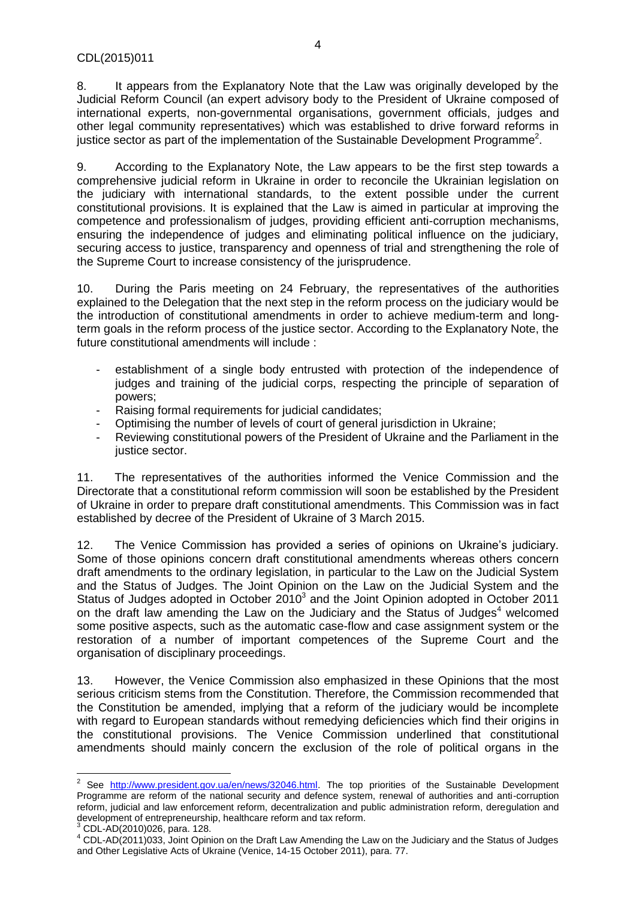8. It appears from the Explanatory Note that the Law was originally developed by the Judicial Reform Council (an expert advisory body to the President of Ukraine composed of international experts, non-governmental organisations, government officials, judges and other legal community representatives) which was established to drive forward reforms in justice sector as part of the implementation of the Sustainable Development Programme<sup>2</sup>.

9. According to the Explanatory Note, the Law appears to be the first step towards a comprehensive judicial reform in Ukraine in order to reconcile the Ukrainian legislation on the judiciary with international standards, to the extent possible under the current constitutional provisions. It is explained that the Law is aimed in particular at improving the competence and professionalism of judges, providing efficient anti-corruption mechanisms, ensuring the independence of judges and eliminating political influence on the judiciary, securing access to justice, transparency and openness of trial and strengthening the role of the Supreme Court to increase consistency of the jurisprudence.

10. During the Paris meeting on 24 February, the representatives of the authorities explained to the Delegation that the next step in the reform process on the judiciary would be the introduction of constitutional amendments in order to achieve medium-term and longterm goals in the reform process of the justice sector. According to the Explanatory Note, the future constitutional amendments will include :

- establishment of a single body entrusted with protection of the independence of judges and training of the judicial corps, respecting the principle of separation of powers;
- Raising formal requirements for judicial candidates;
- Optimising the number of levels of court of general jurisdiction in Ukraine;
- Reviewing constitutional powers of the President of Ukraine and the Parliament in the justice sector.

11. The representatives of the authorities informed the Venice Commission and the Directorate that a constitutional reform commission will soon be established by the President of Ukraine in order to prepare draft constitutional amendments. This Commission was in fact established by decree of the President of Ukraine of 3 March 2015.

12. The Venice Commission has provided a series of opinions on Ukraine's judiciary. Some of those opinions concern draft constitutional amendments whereas others concern draft amendments to the ordinary legislation, in particular to the Law on the Judicial System and the Status of Judges. The Joint Opinion on the Law on the Judicial System and the Status of Judges adopted in October  $2010<sup>3</sup>$  and the Joint Opinion adopted in October 2011 on the draft law amending the Law on the Judiciary and the Status of Judges $4$  welcomed some positive aspects, such as the automatic case-flow and case assignment system or the restoration of a number of important competences of the Supreme Court and the organisation of disciplinary proceedings.

13. However, the Venice Commission also emphasized in these Opinions that the most serious criticism stems from the Constitution. Therefore, the Commission recommended that the Constitution be amended, implying that a reform of the judiciary would be incomplete with regard to European standards without remedying deficiencies which find their origins in the constitutional provisions. The Venice Commission underlined that constitutional amendments should mainly concern the exclusion of the role of political organs in the

 2 See [http://www.president.gov.ua/en/news/32046.html.](http://www.president.gov.ua/en/news/32046.html) The top priorities of the Sustainable Development Programme are reform of the national security and defence system, renewal of authorities and anti-corruption reform, judicial and law enforcement reform, decentralization and public administration reform, deregulation and development of entrepreneurship, healthcare reform and tax reform.

<sup>3</sup> CDL-AD(2010)026, para. 128.

 $4$  CDL-AD(2011)033, Joint Opinion on the Draft Law Amending the Law on the Judiciary and the Status of Judges and Other Legislative Acts of Ukraine (Venice, 14-15 October 2011), para. 77.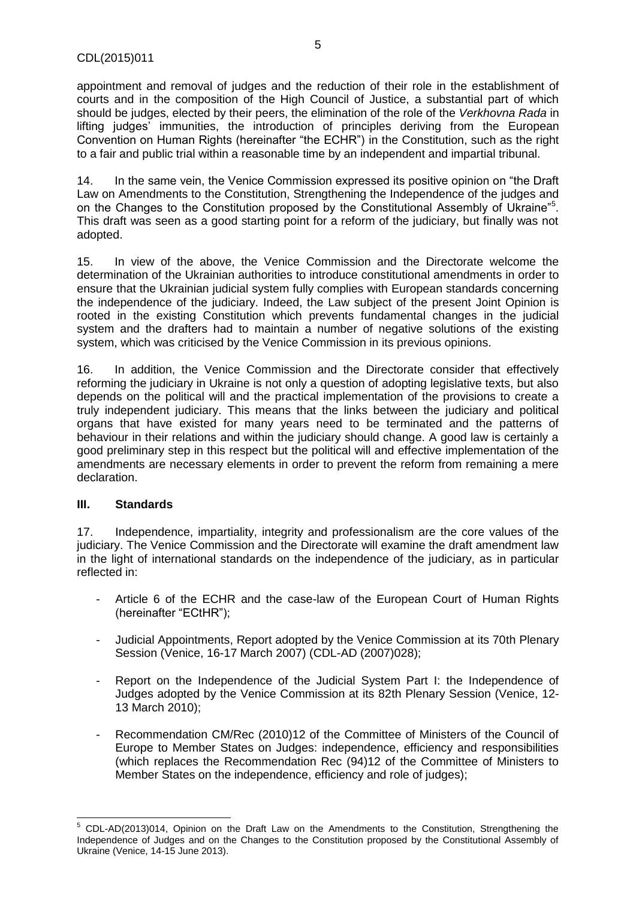appointment and removal of judges and the reduction of their role in the establishment of courts and in the composition of the High Council of Justice, a substantial part of which should be judges, elected by their peers, the elimination of the role of the *Verkhovna Rada* in lifting judges' immunities, the introduction of principles deriving from the European Convention on Human Rights (hereinafter "the ECHR") in the Constitution, such as the right to a fair and public trial within a reasonable time by an independent and impartial tribunal.

14. In the same vein, the Venice Commission expressed its positive opinion on "the Draft Law on Amendments to the Constitution, Strengthening the Independence of the judges and on the Changes to the Constitution proposed by the Constitutional Assembly of Ukraine<sup>75</sup>. This draft was seen as a good starting point for a reform of the judiciary, but finally was not adopted.

15. In view of the above, the Venice Commission and the Directorate welcome the determination of the Ukrainian authorities to introduce constitutional amendments in order to ensure that the Ukrainian judicial system fully complies with European standards concerning the independence of the judiciary. Indeed, the Law subject of the present Joint Opinion is rooted in the existing Constitution which prevents fundamental changes in the judicial system and the drafters had to maintain a number of negative solutions of the existing system, which was criticised by the Venice Commission in its previous opinions.

16. In addition, the Venice Commission and the Directorate consider that effectively reforming the judiciary in Ukraine is not only a question of adopting legislative texts, but also depends on the political will and the practical implementation of the provisions to create a truly independent judiciary. This means that the links between the judiciary and political organs that have existed for many years need to be terminated and the patterns of behaviour in their relations and within the judiciary should change. A good law is certainly a good preliminary step in this respect but the political will and effective implementation of the amendments are necessary elements in order to prevent the reform from remaining a mere declaration.

# <span id="page-4-0"></span>**III. Standards**

 $\overline{\phantom{a}}$ 

17. Independence, impartiality, integrity and professionalism are the core values of the judiciary. The Venice Commission and the Directorate will examine the draft amendment law in the light of international standards on the independence of the judiciary, as in particular reflected in:

- Article 6 of the ECHR and the case-law of the European Court of Human Rights (hereinafter "ECtHR");
- Judicial Appointments, Report adopted by the Venice Commission at its 70th Plenary Session (Venice, 16-17 March 2007) (CDL-AD (2007)028);
- Report on the Independence of the Judicial System Part I: the Independence of Judges adopted by the Venice Commission at its 82th Plenary Session (Venice, 12- 13 March 2010);
- Recommendation CM/Rec (2010)12 of the Committee of Ministers of the Council of Europe to Member States on Judges: independence, efficiency and responsibilities (which replaces the Recommendation Rec (94)12 of the Committee of Ministers to Member States on the independence, efficiency and role of judges);

<sup>&</sup>lt;sup>5</sup> CDL-AD(2013)014, Opinion on the Draft Law on the Amendments to the Constitution, Strengthening the Independence of Judges and on the Changes to the Constitution proposed by the Constitutional Assembly of Ukraine (Venice, 14-15 June 2013).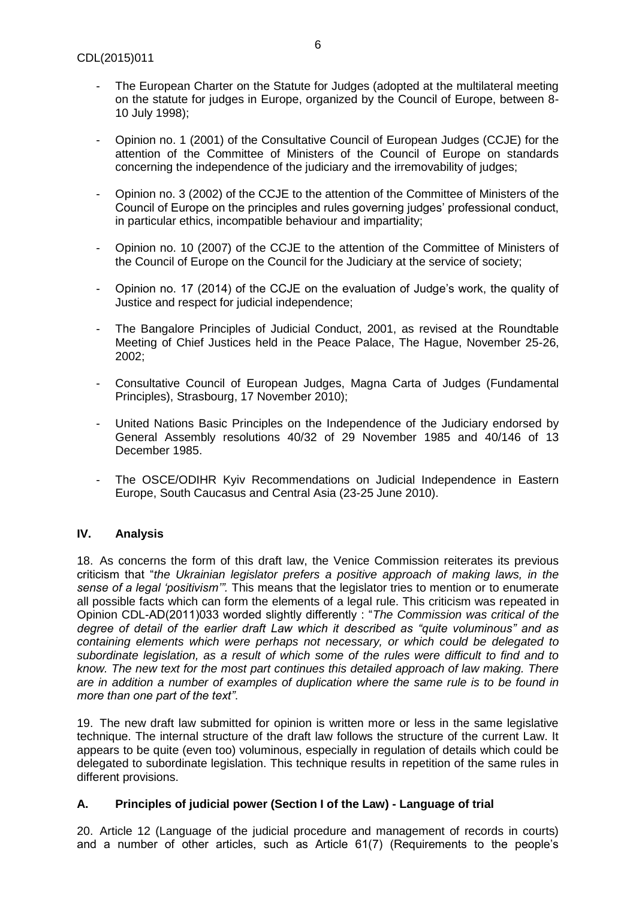- The European Charter on the Statute for Judges (adopted at the multilateral meeting on the statute for judges in Europe, organized by the Council of Europe, between 8- 10 July 1998);
- Opinion no. 1 (2001) of the Consultative Council of European Judges (CCJE) for the attention of the Committee of Ministers of the Council of Europe on standards concerning the independence of the judiciary and the irremovability of judges;
- Opinion no. 3 (2002) of the CCJE to the attention of the Committee of Ministers of the Council of Europe on the principles and rules governing judges' professional conduct, in particular ethics, incompatible behaviour and impartiality;
- Opinion no. 10 (2007) of the CCJE to the attention of the Committee of Ministers of the Council of Europe on the Council for the Judiciary at the service of society;
- Opinion no. 17 (2014) of the CCJE on the evaluation of Judge's work, the quality of Justice and respect for judicial independence;
- The Bangalore Principles of Judicial Conduct, 2001, as revised at the Roundtable Meeting of Chief Justices held in the Peace Palace, The Hague, November 25-26, 2002;
- Consultative Council of European Judges, Magna Carta of Judges (Fundamental Principles), Strasbourg, 17 November 2010);
- United Nations Basic Principles on the Independence of the Judiciary endorsed by General Assembly resolutions 40/32 of 29 November 1985 and 40/146 of 13 December 1985.
- The OSCE/ODIHR Kyiv Recommendations on Judicial Independence in Eastern Europe, South Caucasus and Central Asia (23-25 June 2010).

# <span id="page-5-0"></span>**IV. Analysis**

18. As concerns the form of this draft law, the Venice Commission reiterates its previous criticism that "*the Ukrainian legislator prefers a positive approach of making laws, in the sense of a legal 'positivism'".* This means that the legislator tries to mention or to enumerate all possible facts which can form the elements of a legal rule. This criticism was repeated in Opinion CDL-AD(2011)033 worded slightly differently : "*The Commission was critical of the degree of detail of the earlier draft Law which it described as "quite voluminous" and as containing elements which were perhaps not necessary, or which could be delegated to subordinate legislation, as a result of which some of the rules were difficult to find and to know. The new text for the most part continues this detailed approach of law making. There are in addition a number of examples of duplication where the same rule is to be found in more than one part of the text"*.

19. The new draft law submitted for opinion is written more or less in the same legislative technique. The internal structure of the draft law follows the structure of the current Law. It appears to be quite (even too) voluminous, especially in regulation of details which could be delegated to subordinate legislation. This technique results in repetition of the same rules in different provisions.

# <span id="page-5-1"></span>**A. Principles of judicial power (Section I of the Law) - Language of trial**

20. Article 12 (Language of the judicial procedure and management of records in courts) and a number of other articles, such as Article 61(7) (Requirements to the people's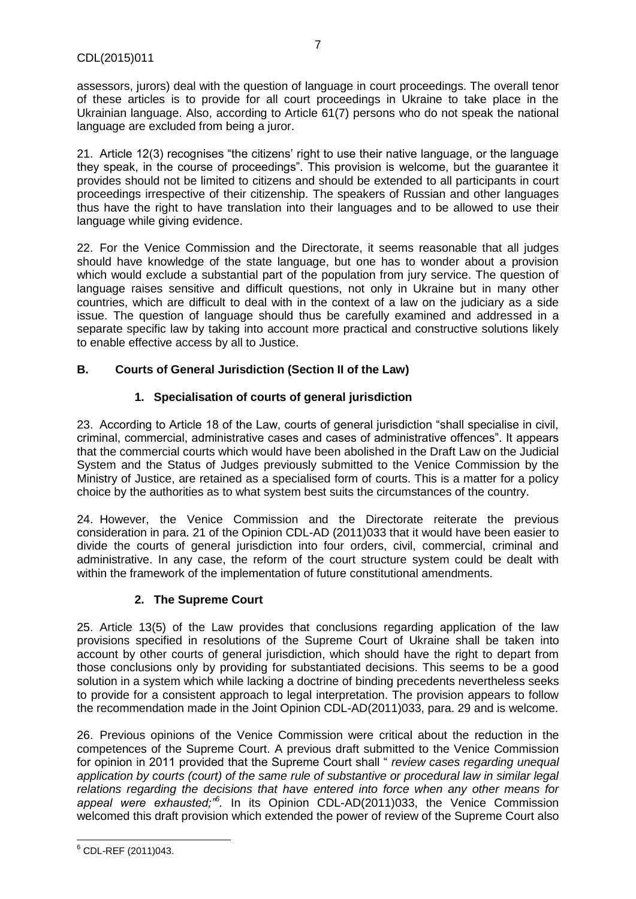assessors, jurors) deal with the question of language in court proceedings. The overall tenor of these articles is to provide for all court proceedings in Ukraine to take place in the Ukrainian language. Also, according to Article 61(7) persons who do not speak the national language are excluded from being a juror.

7

21. Article 12(3) recognises "the citizens' right to use their native language, or the language they speak, in the course of proceedings". This provision is welcome, but the guarantee it provides should not be limited to citizens and should be extended to all participants in court proceedings irrespective of their citizenship. The speakers of Russian and other languages thus have the right to have translation into their languages and to be allowed to use their language while giving evidence.

22. For the Venice Commission and the Directorate, it seems reasonable that all judges should have knowledge of the state language, but one has to wonder about a provision which would exclude a substantial part of the population from jury service. The question of language raises sensitive and difficult questions, not only in Ukraine but in many other countries, which are difficult to deal with in the context of a law on the judiciary as a side issue. The question of language should thus be carefully examined and addressed in a separate specific law by taking into account more practical and constructive solutions likely to enable effective access by all to Justice.

# <span id="page-6-0"></span>**B. Courts of General Jurisdiction (Section II of the Law)**

# **1. Specialisation of courts of general jurisdiction**

<span id="page-6-1"></span>23. According to Article 18 of the Law, courts of general jurisdiction "shall specialise in civil, criminal, commercial, administrative cases and cases of administrative offences". It appears that the commercial courts which would have been abolished in the Draft Law on the Judicial System and the Status of Judges previously submitted to the Venice Commission by the Ministry of Justice, are retained as a specialised form of courts. This is a matter for a policy choice by the authorities as to what system best suits the circumstances of the country.

24. However, the Venice Commission and the Directorate reiterate the previous consideration in para. 21 of the Opinion CDL-AD (2011)033 that it would have been easier to divide the courts of general jurisdiction into four orders, civil, commercial, criminal and administrative. In any case, the reform of the court structure system could be dealt with within the framework of the implementation of future constitutional amendments.

# **2. The Supreme Court**

<span id="page-6-2"></span>25. Article 13(5) of the Law provides that conclusions regarding application of the law provisions specified in resolutions of the Supreme Court of Ukraine shall be taken into account by other courts of general jurisdiction, which should have the right to depart from those conclusions only by providing for substantiated decisions. This seems to be a good solution in a system which while lacking a doctrine of binding precedents nevertheless seeks to provide for a consistent approach to legal interpretation. The provision appears to follow the recommendation made in the Joint Opinion CDL-AD(2011)033, para. 29 and is welcome.

26. Previous opinions of the Venice Commission were critical about the reduction in the competences of the Supreme Court. A previous draft submitted to the Venice Commission for opinion in 2011 provided that the Supreme Court shall " *review cases regarding unequal application by courts (court) of the same rule of substantive or procedural law in similar legal relations regarding the decisions that have entered into force when any other means for appeal were exhausted;"<sup>6</sup> .* In its Opinion CDL-AD(2011)033, the Venice Commission welcomed this draft provision which extended the power of review of the Supreme Court also

**<sup>.</sup>**  $6$  CDL-REF (2011)043.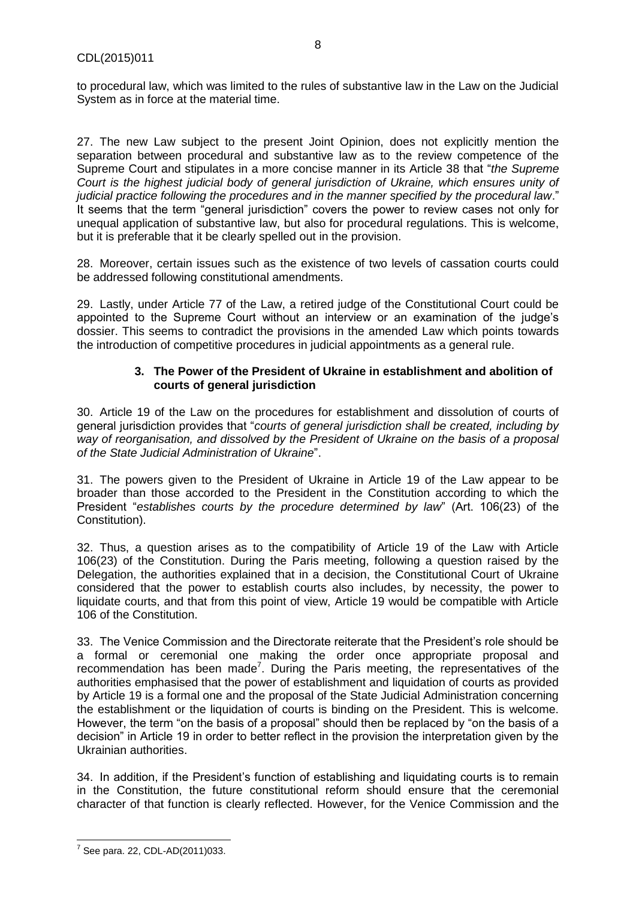to procedural law, which was limited to the rules of substantive law in the Law on the Judicial System as in force at the material time.

27. The new Law subject to the present Joint Opinion, does not explicitly mention the separation between procedural and substantive law as to the review competence of the Supreme Court and stipulates in a more concise manner in its Article 38 that "*the Supreme Court is the highest judicial body of general jurisdiction of Ukraine, which ensures unity of judicial practice following the procedures and in the manner specified by the procedural law*." It seems that the term "general jurisdiction" covers the power to review cases not only for unequal application of substantive law, but also for procedural regulations. This is welcome, but it is preferable that it be clearly spelled out in the provision.

28. Moreover, certain issues such as the existence of two levels of cassation courts could be addressed following constitutional amendments.

29. Lastly, under Article 77 of the Law, a retired judge of the Constitutional Court could be appointed to the Supreme Court without an interview or an examination of the judge's dossier. This seems to contradict the provisions in the amended Law which points towards the introduction of competitive procedures in judicial appointments as a general rule.

#### **3. The Power of the President of Ukraine in establishment and abolition of courts of general jurisdiction**

<span id="page-7-0"></span>30. Article 19 of the Law on the procedures for establishment and dissolution of courts of general jurisdiction provides that "*courts of general jurisdiction shall be created, including by way of reorganisation, and dissolved by the President of Ukraine on the basis of a proposal of the State Judicial Administration of Ukraine*".

31. The powers given to the President of Ukraine in Article 19 of the Law appear to be broader than those accorded to the President in the Constitution according to which the President "*establishes courts by the procedure determined by law*" (Art. 106(23) of the Constitution).

32. Thus, a question arises as to the compatibility of Article 19 of the Law with Article 106(23) of the Constitution. During the Paris meeting, following a question raised by the Delegation, the authorities explained that in a decision, the Constitutional Court of Ukraine considered that the power to establish courts also includes, by necessity, the power to liquidate courts, and that from this point of view, Article 19 would be compatible with Article 106 of the Constitution.

33. The Venice Commission and the Directorate reiterate that the President's role should be a formal or ceremonial one making the order once appropriate proposal and recommendation has been made<sup>7</sup>. During the Paris meeting, the representatives of the authorities emphasised that the power of establishment and liquidation of courts as provided by Article 19 is a formal one and the proposal of the State Judicial Administration concerning the establishment or the liquidation of courts is binding on the President. This is welcome. However, the term "on the basis of a proposal" should then be replaced by "on the basis of a decision" in Article 19 in order to better reflect in the provision the interpretation given by the Ukrainian authorities.

34. In addition, if the President's function of establishing and liquidating courts is to remain in the Constitution, the future constitutional reform should ensure that the ceremonial character of that function is clearly reflected. However, for the Venice Commission and the

 7 See para. 22, CDL-AD(2011)033.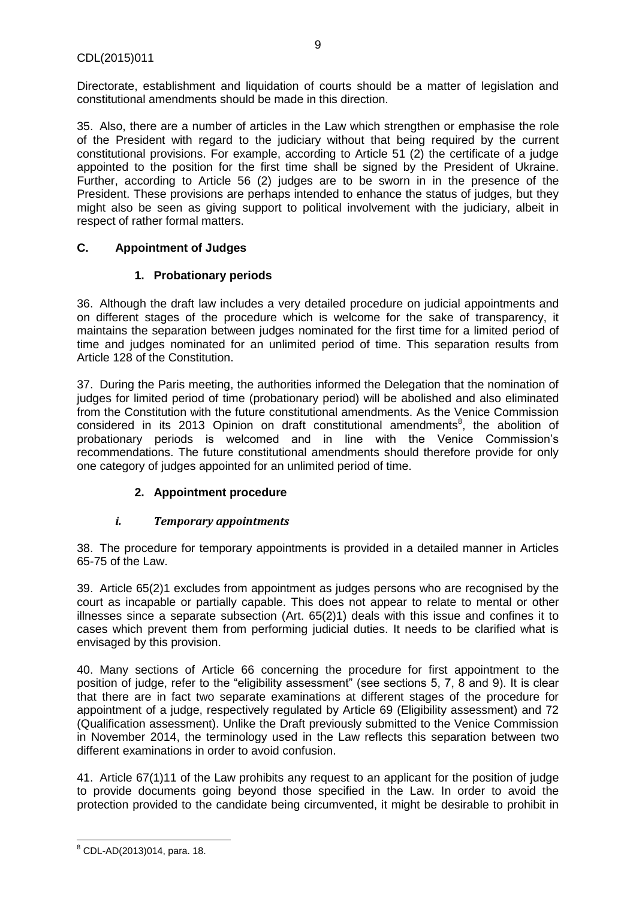Directorate, establishment and liquidation of courts should be a matter of legislation and constitutional amendments should be made in this direction.

35. Also, there are a number of articles in the Law which strengthen or emphasise the role of the President with regard to the judiciary without that being required by the current constitutional provisions. For example, according to Article 51 (2) the certificate of a judge appointed to the position for the first time shall be signed by the President of Ukraine. Further, according to Article 56 (2) judges are to be sworn in in the presence of the President. These provisions are perhaps intended to enhance the status of judges, but they might also be seen as giving support to political involvement with the judiciary, albeit in respect of rather formal matters.

# <span id="page-8-0"></span>**C. Appointment of Judges**

# **1. Probationary periods**

<span id="page-8-1"></span>36. Although the draft law includes a very detailed procedure on judicial appointments and on different stages of the procedure which is welcome for the sake of transparency, it maintains the separation between judges nominated for the first time for a limited period of time and judges nominated for an unlimited period of time. This separation results from Article 128 of the Constitution.

37. During the Paris meeting, the authorities informed the Delegation that the nomination of judges for limited period of time (probationary period) will be abolished and also eliminated from the Constitution with the future constitutional amendments. As the Venice Commission considered in its 2013 Opinion on draft constitutional amendments ${}^{8}$ , the abolition of probationary periods is welcomed and in line with the Venice Commission's recommendations. The future constitutional amendments should therefore provide for only one category of judges appointed for an unlimited period of time.

# **2. Appointment procedure**

# <span id="page-8-2"></span>*i. Temporary appointments*

38. The procedure for temporary appointments is provided in a detailed manner in Articles 65-75 of the Law.

39. Article 65(2)1 excludes from appointment as judges persons who are recognised by the court as incapable or partially capable. This does not appear to relate to mental or other illnesses since a separate subsection (Art. 65(2)1) deals with this issue and confines it to cases which prevent them from performing judicial duties. It needs to be clarified what is envisaged by this provision.

40. Many sections of Article 66 concerning the procedure for first appointment to the position of judge, refer to the "eligibility assessment" (see sections 5, 7, 8 and 9). It is clear that there are in fact two separate examinations at different stages of the procedure for appointment of a judge, respectively regulated by Article 69 (Eligibility assessment) and 72 (Qualification assessment). Unlike the Draft previously submitted to the Venice Commission in November 2014, the terminology used in the Law reflects this separation between two different examinations in order to avoid confusion.

41. Article 67(1)11 of the Law prohibits any request to an applicant for the position of judge to provide documents going beyond those specified in the Law. In order to avoid the protection provided to the candidate being circumvented, it might be desirable to prohibit in

**<sup>.</sup>**  $8$  CDL-AD(2013)014, para. 18.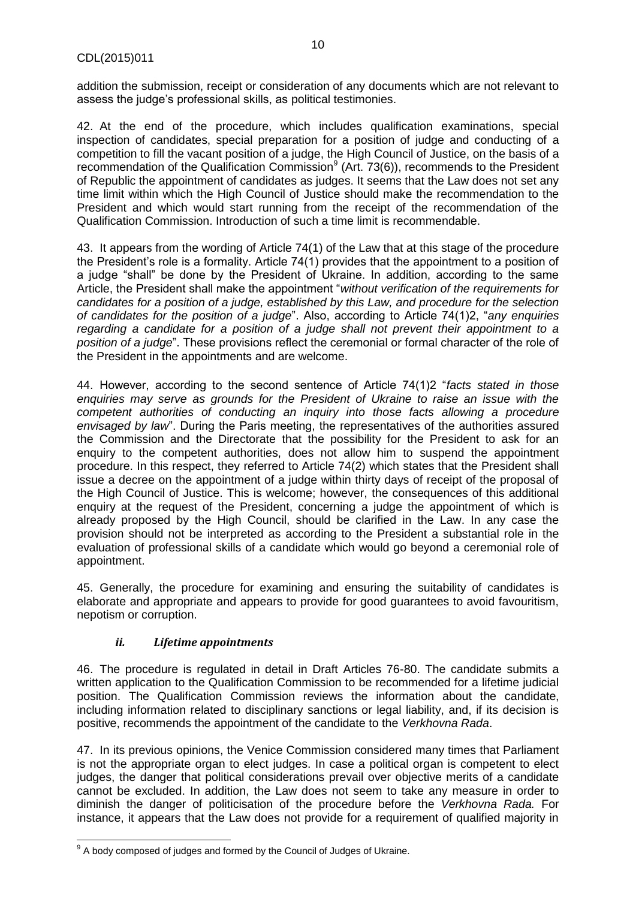addition the submission, receipt or consideration of any documents which are not relevant to assess the judge's professional skills, as political testimonies.

42. At the end of the procedure, which includes qualification examinations, special inspection of candidates, special preparation for a position of judge and conducting of a competition to fill the vacant position of a judge, the High Council of Justice, on the basis of a recommendation of the Qualification Commission $9$  (Art. 73(6)), recommends to the President of Republic the appointment of candidates as judges. It seems that the Law does not set any time limit within which the High Council of Justice should make the recommendation to the President and which would start running from the receipt of the recommendation of the Qualification Commission. Introduction of such a time limit is recommendable.

43. It appears from the wording of Article 74(1) of the Law that at this stage of the procedure the President's role is a formality. Article 74(1) provides that the appointment to a position of a judge "shall" be done by the President of Ukraine. In addition, according to the same Article, the President shall make the appointment "*without verification of the requirements for candidates for a position of a judge, established by this Law, and procedure for the selection of candidates for the position of a judge*". Also, according to Article 74(1)2, "*any enquiries regarding a candidate for a position of a judge shall not prevent their appointment to a position of a judge*". These provisions reflect the ceremonial or formal character of the role of the President in the appointments and are welcome.

44. However, according to the second sentence of Article 74(1)2 "*facts stated in those enquiries may serve as grounds for the President of Ukraine to raise an issue with the competent authorities of conducting an inquiry into those facts allowing a procedure envisaged by law*". During the Paris meeting, the representatives of the authorities assured the Commission and the Directorate that the possibility for the President to ask for an enquiry to the competent authorities, does not allow him to suspend the appointment procedure. In this respect, they referred to Article 74(2) which states that the President shall issue a decree on the appointment of a judge within thirty days of receipt of the proposal of the High Council of Justice. This is welcome; however, the consequences of this additional enquiry at the request of the President, concerning a judge the appointment of which is already proposed by the High Council, should be clarified in the Law. In any case the provision should not be interpreted as according to the President a substantial role in the evaluation of professional skills of a candidate which would go beyond a ceremonial role of appointment.

45. Generally, the procedure for examining and ensuring the suitability of candidates is elaborate and appropriate and appears to provide for good guarantees to avoid favouritism, nepotism or corruption.

# *ii. Lifetime appointments*

46. The procedure is regulated in detail in Draft Articles 76-80. The candidate submits a written application to the Qualification Commission to be recommended for a lifetime judicial position. The Qualification Commission reviews the information about the candidate, including information related to disciplinary sanctions or legal liability, and, if its decision is positive, recommends the appointment of the candidate to the *Verkhovna Rada*.

47. In its previous opinions, the Venice Commission considered many times that Parliament is not the appropriate organ to elect judges. In case a political organ is competent to elect judges, the danger that political considerations prevail over objective merits of a candidate cannot be excluded. In addition, the Law does not seem to take any measure in order to diminish the danger of politicisation of the procedure before the *Verkhovna Rada.* For instance, it appears that the Law does not provide for a requirement of qualified majority in

 9 A body composed of judges and formed by the Council of Judges of Ukraine.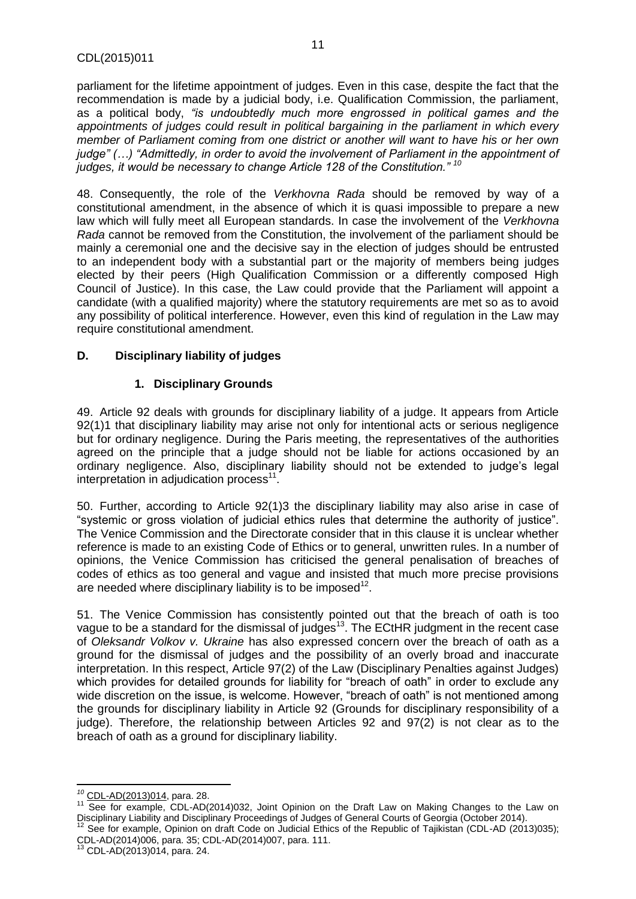parliament for the lifetime appointment of judges. Even in this case, despite the fact that the recommendation is made by a judicial body, i.e. Qualification Commission, the parliament, as a political body, *"is undoubtedly much more engrossed in political games and the appointments of judges could result in political bargaining in the parliament in which every member of Parliament coming from one district or another will want to have his or her own judge" (…) "Admittedly, in order to avoid the involvement of Parliament in the appointment of judges, it would be necessary to change Article 128 of the Constitution." <sup>10</sup>*

48. Consequently, the role of the *Verkhovna Rada* should be removed by way of a constitutional amendment, in the absence of which it is quasi impossible to prepare a new law which will fully meet all European standards. In case the involvement of the *Verkhovna Rada* cannot be removed from the Constitution, the involvement of the parliament should be mainly a ceremonial one and the decisive say in the election of judges should be entrusted to an independent body with a substantial part or the majority of members being judges elected by their peers (High Qualification Commission or a differently composed High Council of Justice). In this case, the Law could provide that the Parliament will appoint a candidate (with a qualified majority) where the statutory requirements are met so as to avoid any possibility of political interference. However, even this kind of regulation in the Law may require constitutional amendment.

# <span id="page-10-0"></span>**D. Disciplinary liability of judges**

# **1. Disciplinary Grounds**

<span id="page-10-1"></span>49. Article 92 deals with grounds for disciplinary liability of a judge. It appears from Article 92(1)1 that disciplinary liability may arise not only for intentional acts or serious negligence but for ordinary negligence. During the Paris meeting, the representatives of the authorities agreed on the principle that a judge should not be liable for actions occasioned by an ordinary negligence. Also, disciplinary liability should not be extended to judge's legal interpretation in adjudication process $11$ .

50. Further, according to Article 92(1)3 the disciplinary liability may also arise in case of "systemic or gross violation of judicial ethics rules that determine the authority of justice". The Venice Commission and the Directorate consider that in this clause it is unclear whether reference is made to an existing Code of Ethics or to general, unwritten rules. In a number of opinions, the Venice Commission has criticised the general penalisation of breaches of codes of ethics as too general and vague and insisted that much more precise provisions are needed where disciplinary liability is to be imposed<sup>12</sup>.

51. The Venice Commission has consistently pointed out that the breach of oath is too vague to be a standard for the dismissal of judges<sup>13</sup>. The ECtHR judgment in the recent case of *Oleksandr Volkov v. Ukraine* has also expressed concern over the breach of oath as a ground for the dismissal of judges and the possibility of an overly broad and inaccurate interpretation. In this respect, Article 97(2) of the Law (Disciplinary Penalties against Judges) which provides for detailed grounds for liability for "breach of oath" in order to exclude any wide discretion on the issue, is welcome. However, "breach of oath" is not mentioned among the grounds for disciplinary liability in Article 92 (Grounds for disciplinary responsibility of a judge). Therefore, the relationship between Articles 92 and 97(2) is not clear as to the breach of oath as a ground for disciplinary liability.

**<sup>.</sup>** *<sup>10</sup>* [CDL-AD\(2013\)014](http://www.venice.coe.int/docs/2002/CDL-AD(2002)026-e.asp), para. 28.

<sup>11</sup> See for example. CDL-AD(2014)032, Joint Opinion on the Draft Law on Making Changes to the Law on Disciplinary Liability and Disciplinary Proceedings of Judges of General Courts of Georgia (October 2014). See for example, Opinion on draft Code on Judicial Ethics of the Republic of Tajikistan (CDL-AD (2013)035); CDL-AD(2014)006, para. 35; CDL-AD(2014)007, para. 111.

<sup>13</sup> CDL-AD(2013)014, para. 24.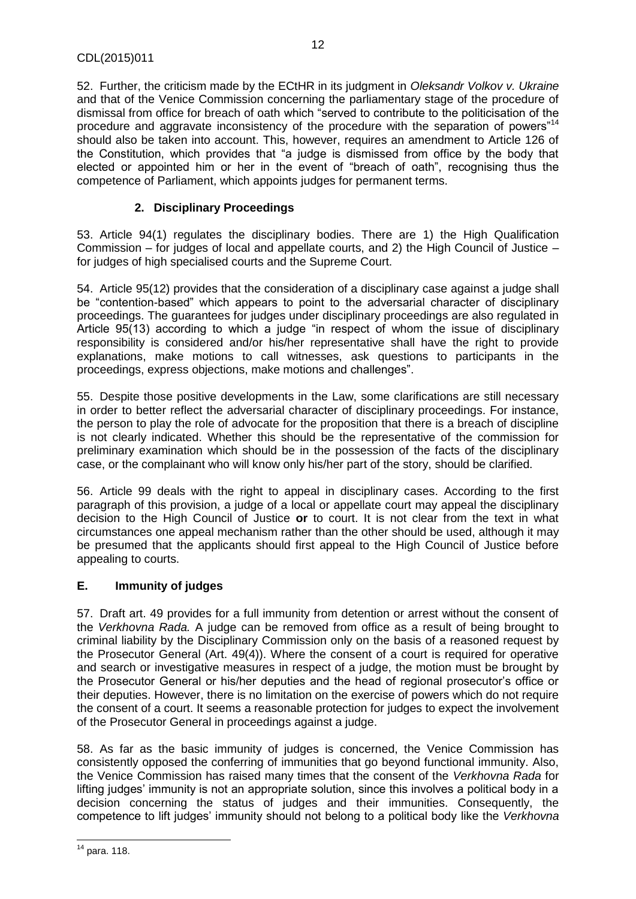52. Further, the criticism made by the ECtHR in its judgment in *Oleksandr Volkov v. Ukraine* and that of the Venice Commission concerning the parliamentary stage of the procedure of dismissal from office for breach of oath which "served to contribute to the politicisation of the procedure and aggravate inconsistency of the procedure with the separation of powers"<sup>14</sup> should also be taken into account. This, however, requires an amendment to Article 126 of the Constitution, which provides that "a judge is dismissed from office by the body that elected or appointed him or her in the event of "breach of oath", recognising thus the competence of Parliament, which appoints judges for permanent terms.

# **2. Disciplinary Proceedings**

<span id="page-11-0"></span>53. Article 94(1) regulates the disciplinary bodies. There are 1) the High Qualification Commission – for judges of local and appellate courts, and 2) the High Council of Justice – for judges of high specialised courts and the Supreme Court.

54. Article 95(12) provides that the consideration of a disciplinary case against a judge shall be "contention-based" which appears to point to the adversarial character of disciplinary proceedings. The guarantees for judges under disciplinary proceedings are also regulated in Article 95(13) according to which a judge "in respect of whom the issue of disciplinary responsibility is considered and/or his/her representative shall have the right to provide explanations, make motions to call witnesses, ask questions to participants in the proceedings, express objections, make motions and challenges".

55. Despite those positive developments in the Law, some clarifications are still necessary in order to better reflect the adversarial character of disciplinary proceedings. For instance, the person to play the role of advocate for the proposition that there is a breach of discipline is not clearly indicated. Whether this should be the representative of the commission for preliminary examination which should be in the possession of the facts of the disciplinary case, or the complainant who will know only his/her part of the story, should be clarified.

56. Article 99 deals with the right to appeal in disciplinary cases. According to the first paragraph of this provision, a judge of a local or appellate court may appeal the disciplinary decision to the High Council of Justice **or** to court. It is not clear from the text in what circumstances one appeal mechanism rather than the other should be used, although it may be presumed that the applicants should first appeal to the High Council of Justice before appealing to courts.

# <span id="page-11-1"></span>**E. Immunity of judges**

57. Draft art. 49 provides for a full immunity from detention or arrest without the consent of the *Verkhovna Rada.* A judge can be removed from office as a result of being brought to criminal liability by the Disciplinary Commission only on the basis of a reasoned request by the Prosecutor General (Art. 49(4)). Where the consent of a court is required for operative and search or investigative measures in respect of a judge, the motion must be brought by the Prosecutor General or his/her deputies and the head of regional prosecutor's office or their deputies. However, there is no limitation on the exercise of powers which do not require the consent of a court. It seems a reasonable protection for judges to expect the involvement of the Prosecutor General in proceedings against a judge.

58. As far as the basic immunity of judges is concerned, the Venice Commission has consistently opposed the conferring of immunities that go beyond functional immunity. Also, the Venice Commission has raised many times that the consent of the *Verkhovna Rada* for lifting judges' immunity is not an appropriate solution, since this involves a political body in a decision concerning the status of judges and their immunities. Consequently, the competence to lift judges' immunity should not belong to a political body like the *Verkhovna* 

**<sup>.</sup>**  $14$  para. 118.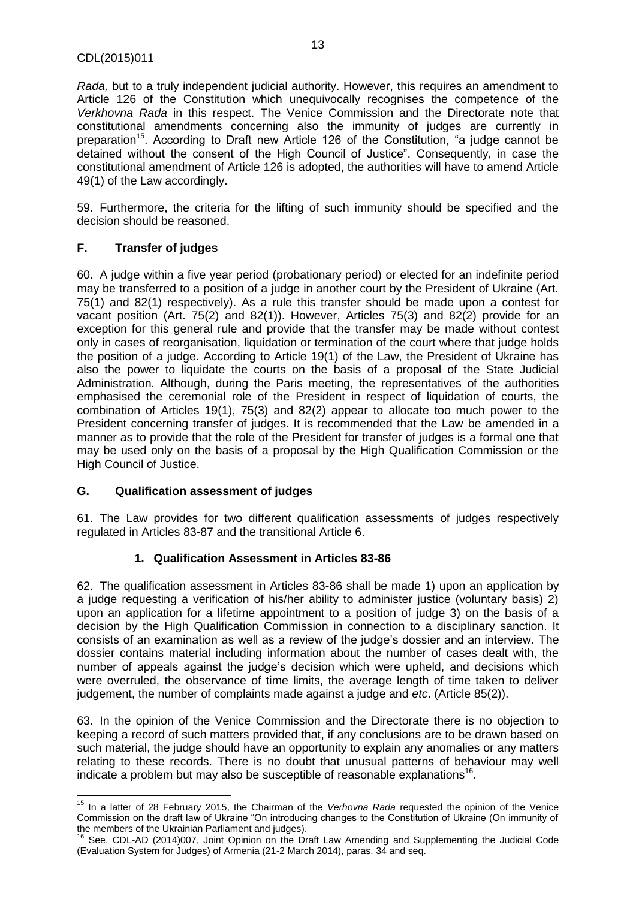*Rada,* but to a truly independent judicial authority. However, this requires an amendment to Article 126 of the Constitution which unequivocally recognises the competence of the *Verkhovna Rada* in this respect. The Venice Commission and the Directorate note that constitutional amendments concerning also the immunity of judges are currently in preparation<sup>15</sup>. According to Draft new Article 126 of the Constitution, "a judge cannot be detained without the consent of the High Council of Justice". Consequently, in case the constitutional amendment of Article 126 is adopted, the authorities will have to amend Article 49(1) of the Law accordingly.

59. Furthermore, the criteria for the lifting of such immunity should be specified and the decision should be reasoned.

# <span id="page-12-0"></span>**F. Transfer of judges**

60. A judge within a five year period (probationary period) or elected for an indefinite period may be transferred to a position of a judge in another court by the President of Ukraine (Art. 75(1) and 82(1) respectively). As a rule this transfer should be made upon a contest for vacant position (Art. 75(2) and 82(1)). However, Articles 75(3) and 82(2) provide for an exception for this general rule and provide that the transfer may be made without contest only in cases of reorganisation, liquidation or termination of the court where that judge holds the position of a judge. According to Article 19(1) of the Law, the President of Ukraine has also the power to liquidate the courts on the basis of a proposal of the State Judicial Administration. Although, during the Paris meeting, the representatives of the authorities emphasised the ceremonial role of the President in respect of liquidation of courts, the combination of Articles 19(1), 75(3) and 82(2) appear to allocate too much power to the President concerning transfer of judges. It is recommended that the Law be amended in a manner as to provide that the role of the President for transfer of judges is a formal one that may be used only on the basis of a proposal by the High Qualification Commission or the High Council of Justice.

# <span id="page-12-1"></span>**G. Qualification assessment of judges**

 $\overline{a}$ 

61. The Law provides for two different qualification assessments of judges respectively regulated in Articles 83-87 and the transitional Article 6.

# **1. Qualification Assessment in Articles 83-86**

<span id="page-12-2"></span>62. The qualification assessment in Articles 83-86 shall be made 1) upon an application by a judge requesting a verification of his/her ability to administer justice (voluntary basis) 2) upon an application for a lifetime appointment to a position of judge 3) on the basis of a decision by the High Qualification Commission in connection to a disciplinary sanction. It consists of an examination as well as a review of the judge's dossier and an interview. The dossier contains material including information about the number of cases dealt with, the number of appeals against the judge's decision which were upheld, and decisions which were overruled, the observance of time limits, the average length of time taken to deliver judgement, the number of complaints made against a judge and *etc*. (Article 85(2)).

63. In the opinion of the Venice Commission and the Directorate there is no objection to keeping a record of such matters provided that, if any conclusions are to be drawn based on such material, the judge should have an opportunity to explain any anomalies or any matters relating to these records. There is no doubt that unusual patterns of behaviour may well indicate a problem but may also be susceptible of reasonable explanations<sup>16</sup>.

<sup>15</sup> In a latter of 28 February 2015, the Chairman of the *Verhovna Rada* requested the opinion of the Venice Commission on the draft law of Ukraine "On introducing changes to the Constitution of Ukraine (On immunity of the members of the Ukrainian Parliament and judges).

<sup>&</sup>lt;sup>16</sup> See, CDL-AD (2014)007, Joint Opinion on the Draft Law Amending and Supplementing the Judicial Code (Evaluation System for Judges) of Armenia (21-2 March 2014), paras. 34 and seq.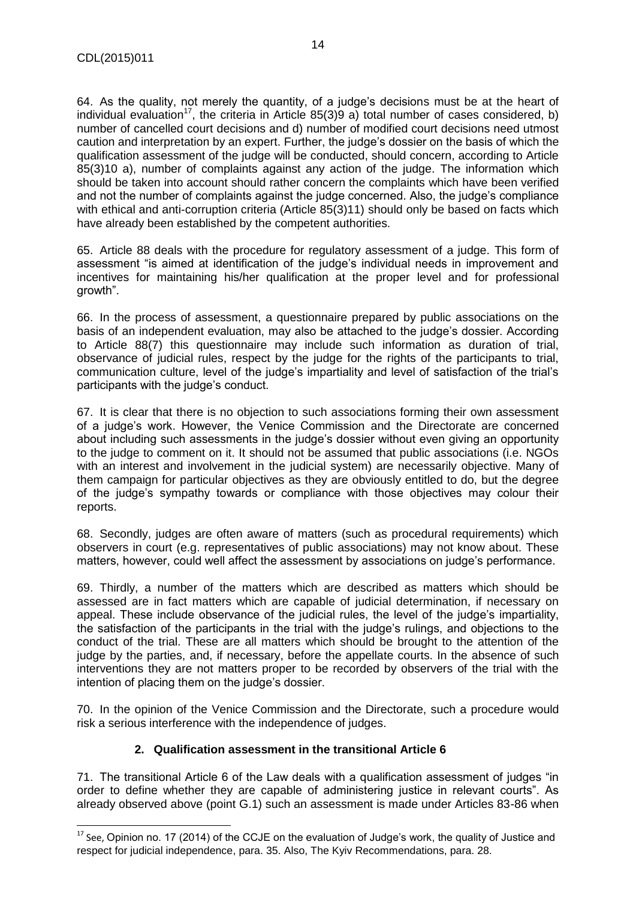$\overline{\phantom{a}}$ 

64. As the quality, not merely the quantity, of a judge's decisions must be at the heart of individual evaluation<sup>17</sup>, the criteria in Article 85(3)9 a) total number of cases considered, b) number of cancelled court decisions and d) number of modified court decisions need utmost caution and interpretation by an expert. Further, the judge's dossier on the basis of which the qualification assessment of the judge will be conducted, should concern, according to Article 85(3)10 a), number of complaints against any action of the judge. The information which should be taken into account should rather concern the complaints which have been verified and not the number of complaints against the judge concerned. Also, the judge's compliance with ethical and anti-corruption criteria (Article 85(3)11) should only be based on facts which have already been established by the competent authorities.

65. Article 88 deals with the procedure for regulatory assessment of a judge. This form of assessment "is aimed at identification of the judge's individual needs in improvement and incentives for maintaining his/her qualification at the proper level and for professional growth".

66. In the process of assessment, a questionnaire prepared by public associations on the basis of an independent evaluation, may also be attached to the judge's dossier. According to Article 88(7) this questionnaire may include such information as duration of trial, observance of judicial rules, respect by the judge for the rights of the participants to trial, communication culture, level of the judge's impartiality and level of satisfaction of the trial's participants with the judge's conduct.

67. It is clear that there is no objection to such associations forming their own assessment of a judge's work. However, the Venice Commission and the Directorate are concerned about including such assessments in the judge's dossier without even giving an opportunity to the judge to comment on it. It should not be assumed that public associations (i.e. NGOs with an interest and involvement in the judicial system) are necessarily objective. Many of them campaign for particular objectives as they are obviously entitled to do, but the degree of the judge's sympathy towards or compliance with those objectives may colour their reports.

68. Secondly, judges are often aware of matters (such as procedural requirements) which observers in court (e.g. representatives of public associations) may not know about. These matters, however, could well affect the assessment by associations on judge's performance.

69. Thirdly, a number of the matters which are described as matters which should be assessed are in fact matters which are capable of judicial determination, if necessary on appeal. These include observance of the judicial rules, the level of the judge's impartiality, the satisfaction of the participants in the trial with the judge's rulings, and objections to the conduct of the trial. These are all matters which should be brought to the attention of the judge by the parties, and, if necessary, before the appellate courts. In the absence of such interventions they are not matters proper to be recorded by observers of the trial with the intention of placing them on the judge's dossier.

70. In the opinion of the Venice Commission and the Directorate, such a procedure would risk a serious interference with the independence of judges.

# **2. Qualification assessment in the transitional Article 6**

<span id="page-13-0"></span>71. The transitional Article 6 of the Law deals with a qualification assessment of judges "in order to define whether they are capable of administering justice in relevant courts". As already observed above (point G.1) such an assessment is made under Articles 83-86 when

 $17$  See, Opinion no. 17 (2014) of the CCJE on the evaluation of Judge's work, the quality of Justice and respect for judicial independence, para. 35. Also, The Kyiv Recommendations, para. 28.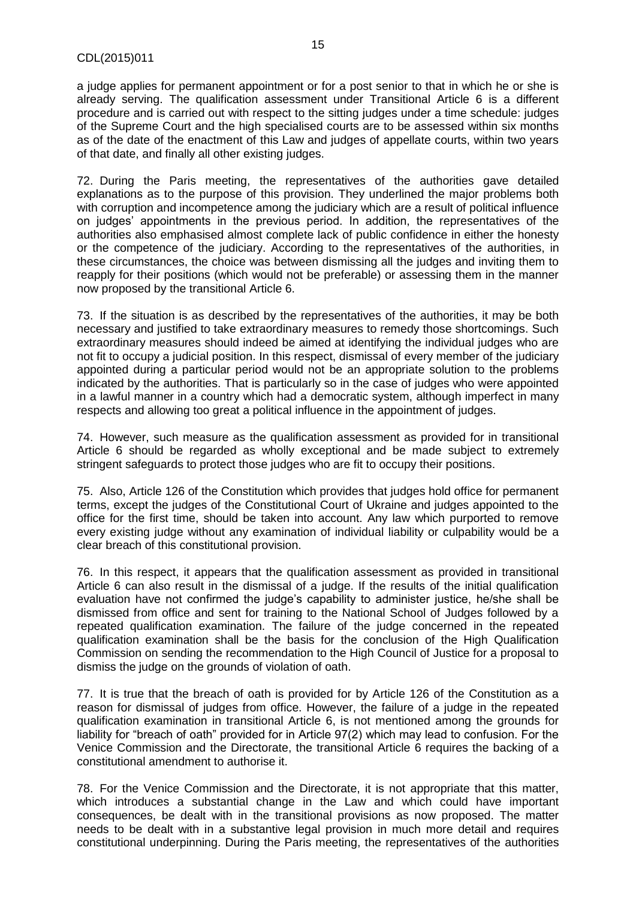a judge applies for permanent appointment or for a post senior to that in which he or she is already serving. The qualification assessment under Transitional Article 6 is a different procedure and is carried out with respect to the sitting judges under a time schedule: judges of the Supreme Court and the high specialised courts are to be assessed within six months as of the date of the enactment of this Law and judges of appellate courts, within two years of that date, and finally all other existing judges.

72. During the Paris meeting, the representatives of the authorities gave detailed explanations as to the purpose of this provision. They underlined the major problems both with corruption and incompetence among the judiciary which are a result of political influence on judges' appointments in the previous period. In addition, the representatives of the authorities also emphasised almost complete lack of public confidence in either the honesty or the competence of the judiciary. According to the representatives of the authorities, in these circumstances, the choice was between dismissing all the judges and inviting them to reapply for their positions (which would not be preferable) or assessing them in the manner now proposed by the transitional Article 6.

73. If the situation is as described by the representatives of the authorities, it may be both necessary and justified to take extraordinary measures to remedy those shortcomings. Such extraordinary measures should indeed be aimed at identifying the individual judges who are not fit to occupy a judicial position. In this respect, dismissal of every member of the judiciary appointed during a particular period would not be an appropriate solution to the problems indicated by the authorities. That is particularly so in the case of judges who were appointed in a lawful manner in a country which had a democratic system, although imperfect in many respects and allowing too great a political influence in the appointment of judges.

74. However, such measure as the qualification assessment as provided for in transitional Article 6 should be regarded as wholly exceptional and be made subject to extremely stringent safeguards to protect those judges who are fit to occupy their positions.

75. Also, Article 126 of the Constitution which provides that judges hold office for permanent terms, except the judges of the Constitutional Court of Ukraine and judges appointed to the office for the first time, should be taken into account. Any law which purported to remove every existing judge without any examination of individual liability or culpability would be a clear breach of this constitutional provision.

76. In this respect, it appears that the qualification assessment as provided in transitional Article 6 can also result in the dismissal of a judge. If the results of the initial qualification evaluation have not confirmed the judge's capability to administer justice, he/she shall be dismissed from office and sent for training to the National School of Judges followed by a repeated qualification examination. The failure of the judge concerned in the repeated qualification examination shall be the basis for the conclusion of the High Qualification Commission on sending the recommendation to the High Council of Justice for a proposal to dismiss the judge on the grounds of violation of oath.

77. It is true that the breach of oath is provided for by Article 126 of the Constitution as a reason for dismissal of judges from office. However, the failure of a judge in the repeated qualification examination in transitional Article 6, is not mentioned among the grounds for liability for "breach of oath" provided for in Article 97(2) which may lead to confusion. For the Venice Commission and the Directorate, the transitional Article 6 requires the backing of a constitutional amendment to authorise it.

78. For the Venice Commission and the Directorate, it is not appropriate that this matter, which introduces a substantial change in the Law and which could have important consequences, be dealt with in the transitional provisions as now proposed. The matter needs to be dealt with in a substantive legal provision in much more detail and requires constitutional underpinning. During the Paris meeting, the representatives of the authorities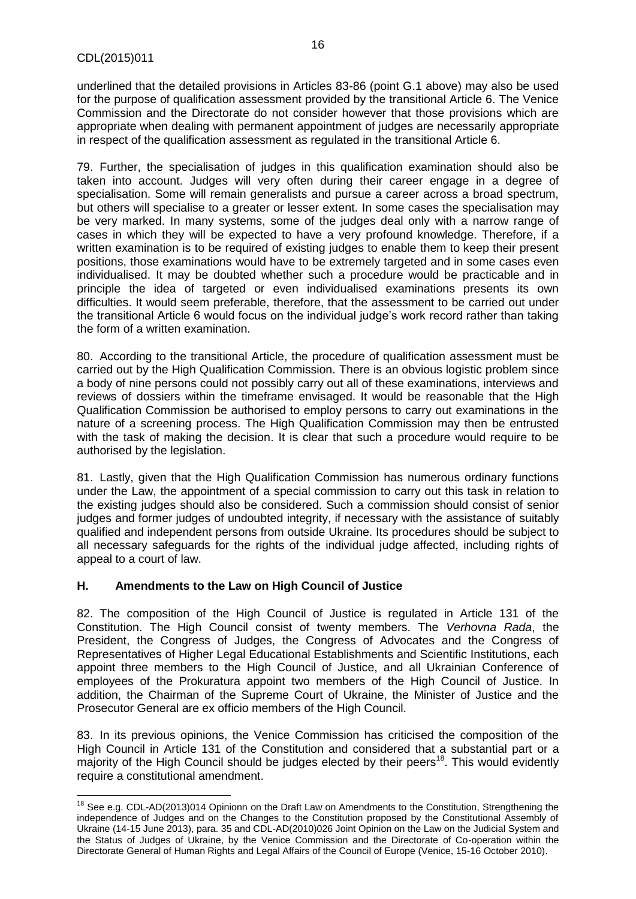$\overline{\phantom{a}}$ 

underlined that the detailed provisions in Articles 83-86 (point G.1 above) may also be used for the purpose of qualification assessment provided by the transitional Article 6. The Venice Commission and the Directorate do not consider however that those provisions which are appropriate when dealing with permanent appointment of judges are necessarily appropriate in respect of the qualification assessment as regulated in the transitional Article 6.

79. Further, the specialisation of judges in this qualification examination should also be taken into account. Judges will very often during their career engage in a degree of specialisation. Some will remain generalists and pursue a career across a broad spectrum, but others will specialise to a greater or lesser extent. In some cases the specialisation may be very marked. In many systems, some of the judges deal only with a narrow range of cases in which they will be expected to have a very profound knowledge. Therefore, if a written examination is to be required of existing judges to enable them to keep their present positions, those examinations would have to be extremely targeted and in some cases even individualised. It may be doubted whether such a procedure would be practicable and in principle the idea of targeted or even individualised examinations presents its own difficulties. It would seem preferable, therefore, that the assessment to be carried out under the transitional Article 6 would focus on the individual judge's work record rather than taking the form of a written examination.

80. According to the transitional Article, the procedure of qualification assessment must be carried out by the High Qualification Commission. There is an obvious logistic problem since a body of nine persons could not possibly carry out all of these examinations, interviews and reviews of dossiers within the timeframe envisaged. It would be reasonable that the High Qualification Commission be authorised to employ persons to carry out examinations in the nature of a screening process. The High Qualification Commission may then be entrusted with the task of making the decision. It is clear that such a procedure would require to be authorised by the legislation.

81. Lastly, given that the High Qualification Commission has numerous ordinary functions under the Law, the appointment of a special commission to carry out this task in relation to the existing judges should also be considered. Such a commission should consist of senior judges and former judges of undoubted integrity, if necessary with the assistance of suitably qualified and independent persons from outside Ukraine. Its procedures should be subject to all necessary safeguards for the rights of the individual judge affected, including rights of appeal to a court of law.

# <span id="page-15-0"></span>**H. Amendments to the Law on High Council of Justice**

82. The composition of the High Council of Justice is regulated in Article 131 of the Constitution. The High Council consist of twenty members. The *Verhovna Rada*, the President, the Congress of Judges, the Congress of Advocates and the Congress of Representatives of Higher Legal Educational Establishments and Scientific Institutions, each appoint three members to the High Council of Justice, and all Ukrainian Conference of employees of the Prokuratura appoint two members of the High Council of Justice. In addition, the Chairman of the Supreme Court of Ukraine, the Minister of Justice and the Prosecutor General are ex officio members of the High Council.

83. In its previous opinions, the Venice Commission has criticised the composition of the High Council in Article 131 of the Constitution and considered that a substantial part or a majority of the High Council should be judges elected by their peers<sup>18</sup>. This would evidently require a constitutional amendment.

<sup>&</sup>lt;sup>18</sup> See e.g. CDL-AD(2013)014 Opinionn on the Draft Law on Amendments to the Constitution, Strengthening the independence of Judges and on the Changes to the Constitution proposed by the Constitutional Assembly of Ukraine (14-15 June 2013), para. 35 and CDL-AD(2010)026 Joint Opinion on the Law on the Judicial System and the Status of Judges of Ukraine, by the Venice Commission and the Directorate of Co-operation within the Directorate General of Human Rights and Legal Affairs of the Council of Europe (Venice, 15-16 October 2010).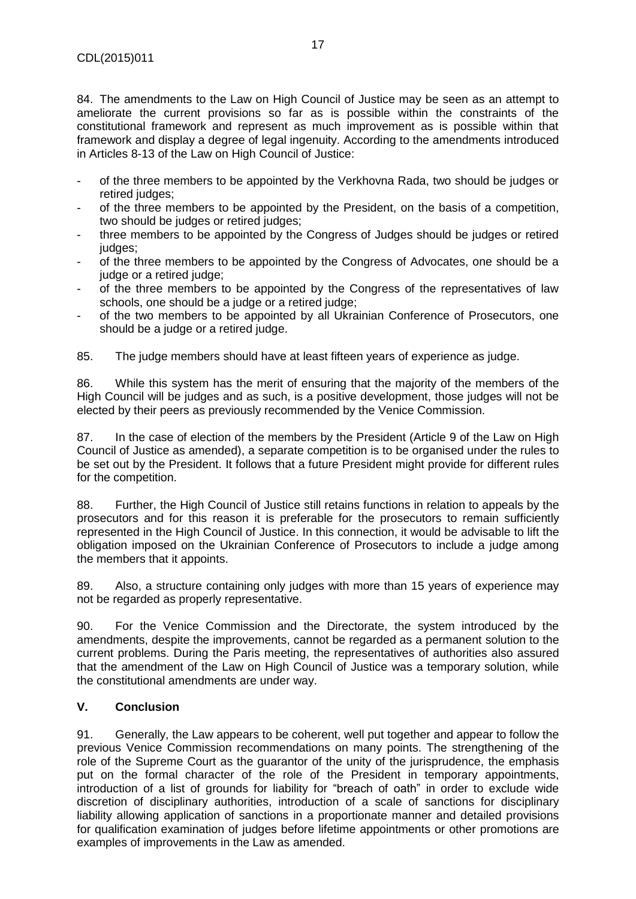84. The amendments to the Law on High Council of Justice may be seen as an attempt to ameliorate the current provisions so far as is possible within the constraints of the constitutional framework and represent as much improvement as is possible within that framework and display a degree of legal ingenuity. According to the amendments introduced in Articles 8-13 of the Law on High Council of Justice:

- of the three members to be appointed by the Verkhovna Rada, two should be judges or retired judges:
- of the three members to be appointed by the President, on the basis of a competition, two should be judges or retired judges;
- three members to be appointed by the Congress of Judges should be judges or retired judges;
- of the three members to be appointed by the Congress of Advocates, one should be a judge or a retired judge;
- of the three members to be appointed by the Congress of the representatives of law schools, one should be a judge or a retired judge;
- of the two members to be appointed by all Ukrainian Conference of Prosecutors, one should be a judge or a retired judge.

85. The judge members should have at least fifteen years of experience as judge.

86. While this system has the merit of ensuring that the majority of the members of the High Council will be judges and as such, is a positive development, those judges will not be elected by their peers as previously recommended by the Venice Commission.

87. In the case of election of the members by the President (Article 9 of the Law on High Council of Justice as amended), a separate competition is to be organised under the rules to be set out by the President. It follows that a future President might provide for different rules for the competition.

88. Further, the High Council of Justice still retains functions in relation to appeals by the prosecutors and for this reason it is preferable for the prosecutors to remain sufficiently represented in the High Council of Justice. In this connection, it would be advisable to lift the obligation imposed on the Ukrainian Conference of Prosecutors to include a judge among the members that it appoints.

89. Also, a structure containing only judges with more than 15 years of experience may not be regarded as properly representative.

90. For the Venice Commission and the Directorate, the system introduced by the amendments, despite the improvements, cannot be regarded as a permanent solution to the current problems. During the Paris meeting, the representatives of authorities also assured that the amendment of the Law on High Council of Justice was a temporary solution, while the constitutional amendments are under way.

# <span id="page-16-0"></span>**V. Conclusion**

91. Generally, the Law appears to be coherent, well put together and appear to follow the previous Venice Commission recommendations on many points. The strengthening of the role of the Supreme Court as the guarantor of the unity of the jurisprudence, the emphasis put on the formal character of the role of the President in temporary appointments, introduction of a list of grounds for liability for "breach of oath" in order to exclude wide discretion of disciplinary authorities, introduction of a scale of sanctions for disciplinary liability allowing application of sanctions in a proportionate manner and detailed provisions for qualification examination of judges before lifetime appointments or other promotions are examples of improvements in the Law as amended.